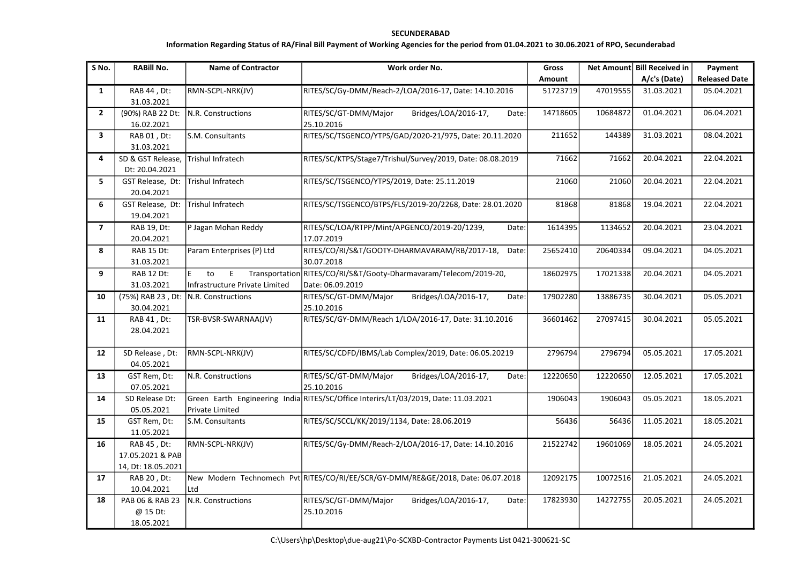## SECUNDERABAD

## Information Regarding Status of RA/Final Bill Payment of Working Agencies for the period from 01.04.2021 to 30.06.2021 of RPO, Secunderabad

| S No.          | <b>RABIII No.</b>                                     | <b>Name of Contractor</b>                  | Work order No.                                                                        | <b>Gross</b> |          | Net Amount Bill Received in | Payment              |
|----------------|-------------------------------------------------------|--------------------------------------------|---------------------------------------------------------------------------------------|--------------|----------|-----------------------------|----------------------|
|                |                                                       |                                            |                                                                                       | Amount       |          | A/c's (Date)                | <b>Released Date</b> |
| $\mathbf{1}$   | RAB 44, Dt:<br>31.03.2021                             | RMN-SCPL-NRK(JV)                           | RITES/SC/Gy-DMM/Reach-2/LOA/2016-17, Date: 14.10.2016                                 | 51723719     | 47019555 | 31.03.2021                  | 05.04.2021           |
| $2^{\circ}$    | (90%) RAB 22 Dt:<br>16.02.2021                        | N.R. Constructions                         | RITES/SC/GT-DMM/Major<br>Bridges/LOA/2016-17,<br>Date:<br>25.10.2016                  | 14718605     | 10684872 | 01.04.2021                  | 06.04.2021           |
| 3              | RAB 01, Dt:<br>31.03.2021                             | S.M. Consultants                           | RITES/SC/TSGENCO/YTPS/GAD/2020-21/975, Date: 20.11.2020                               | 211652       | 144389   | 31.03.2021                  | 08.04.2021           |
| 4              | SD & GST Release,<br>Dt: 20.04.2021                   | Trishul Infratech                          | RITES/SC/KTPS/Stage7/Trishul/Survey/2019, Date: 08.08.2019                            | 71662        | 71662    | 20.04.2021                  | 22.04.2021           |
| 5              | GST Release, Dt:<br>20.04.2021                        | Trishul Infratech                          | RITES/SC/TSGENCO/YTPS/2019, Date: 25.11.2019                                          | 21060        | 21060    | 20.04.2021                  | 22.04.2021           |
| 6              | GST Release, Dt:<br>19.04.2021                        | <b>Trishul Infratech</b>                   | RITES/SC/TSGENCO/BTPS/FLS/2019-20/2268, Date: 28.01.2020                              | 81868        | 81868    | 19.04.2021                  | 22.04.2021           |
| $\overline{7}$ | RAB 19, Dt:<br>20.04.2021                             | P Jagan Mohan Reddy                        | RITES/SC/LOA/RTPP/Mint/APGENCO/2019-20/1239,<br>Date:<br>17.07.2019                   | 1614395      | 1134652  | 20.04.2021                  | 23.04.2021           |
| 8              | <b>RAB 15 Dt:</b><br>31.03.2021                       | Param Enterprises (P) Ltd                  | RITES/CO/RI/S&T/GOOTY-DHARMAVARAM/RB/2017-18,<br>Date:<br>30.07.2018                  | 25652410     | 20640334 | 09.04.2021                  | 04.05.2021           |
| 9              | RAB 12 Dt:<br>31.03.2021                              | E.<br>to<br>Infrastructure Private Limited | Transportation RITES/CO/RI/S&T/Gooty-Dharmavaram/Telecom/2019-20,<br>Date: 06.09.2019 | 18602975     | 17021338 | 20.04.2021                  | 04.05.2021           |
| 10             | 30.04.2021                                            | (75%) RAB 23, Dt: N.R. Constructions       | RITES/SC/GT-DMM/Major<br>Bridges/LOA/2016-17,<br>Date:<br>25.10.2016                  | 17902280     | 13886735 | 30.04.2021                  | 05.05.2021           |
| 11             | RAB 41, Dt:<br>28.04.2021                             | TSR-BVSR-SWARNAA(JV)                       | RITES/SC/GY-DMM/Reach 1/LOA/2016-17, Date: 31.10.2016                                 | 36601462     | 27097415 | 30.04.2021                  | 05.05.2021           |
| 12             | SD Release, Dt:<br>04.05.2021                         | RMN-SCPL-NRK(JV)                           | RITES/SC/CDFD/IBMS/Lab Complex/2019, Date: 06.05.20219                                | 2796794      | 2796794  | 05.05.2021                  | 17.05.2021           |
| 13             | GST Rem, Dt:<br>07.05.2021                            | N.R. Constructions                         | Bridges/LOA/2016-17,<br>RITES/SC/GT-DMM/Major<br>Date:<br>25.10.2016                  | 12220650     | 12220650 | 12.05.2021                  | 17.05.2021           |
| 14             | SD Release Dt:<br>05.05.2021                          | Private Limited                            | Green Earth Engineering India RITES/SC/Office Interirs/LT/03/2019, Date: 11.03.2021   | 1906043      | 1906043  | 05.05.2021                  | 18.05.2021           |
| 15             | GST Rem, Dt:<br>11.05.2021                            | S.M. Consultants                           | RITES/SC/SCCL/KK/2019/1134, Date: 28.06.2019                                          | 56436        | 56436    | 11.05.2021                  | 18.05.2021           |
| 16             | RAB 45, Dt:<br>17.05.2021 & PAB<br>14, Dt: 18.05.2021 | RMN-SCPL-NRK(JV)                           | RITES/SC/Gy-DMM/Reach-2/LOA/2016-17, Date: 14.10.2016                                 | 21522742     | 19601069 | 18.05.2021                  | 24.05.2021           |
| 17             | RAB 20, Dt:<br>10.04.2021                             | Ltd                                        | New Modern Technomech Pvt RITES/CO/RI/EE/SCR/GY-DMM/RE&GE/2018, Date: 06.07.2018      | 12092175     | 10072516 | 21.05.2021                  | 24.05.2021           |
| 18             | PAB 06 & RAB 23<br>@ 15 Dt:<br>18.05.2021             | N.R. Constructions                         | RITES/SC/GT-DMM/Major<br>Bridges/LOA/2016-17,<br>Date:<br>25.10.2016                  | 17823930     | 14272755 | 20.05.2021                  | 24.05.2021           |